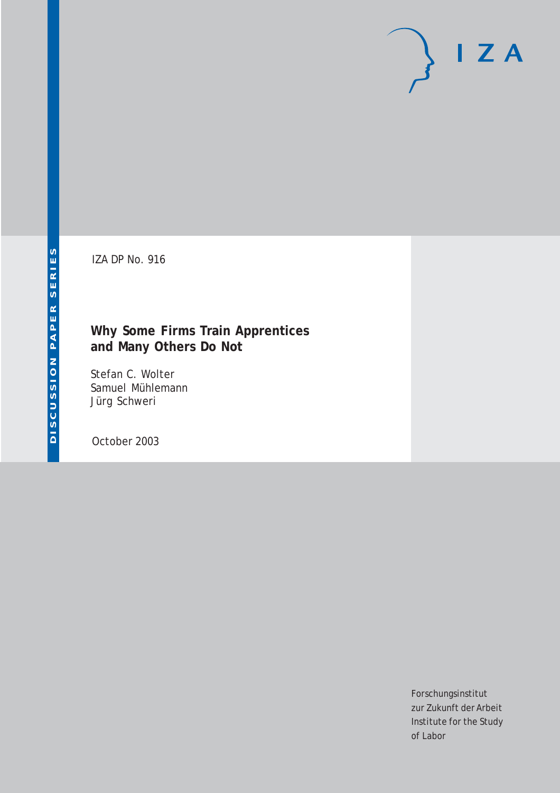# $I Z A$

IZA DP No. 916

## **Why Some Firms Train Apprentices and Many Others Do Not**

Stefan C. Wolter Samuel Mühlemann Jürg Schweri

October 2003

Forschungsinstitut zur Zukunft der Arbeit Institute for the Study of Labor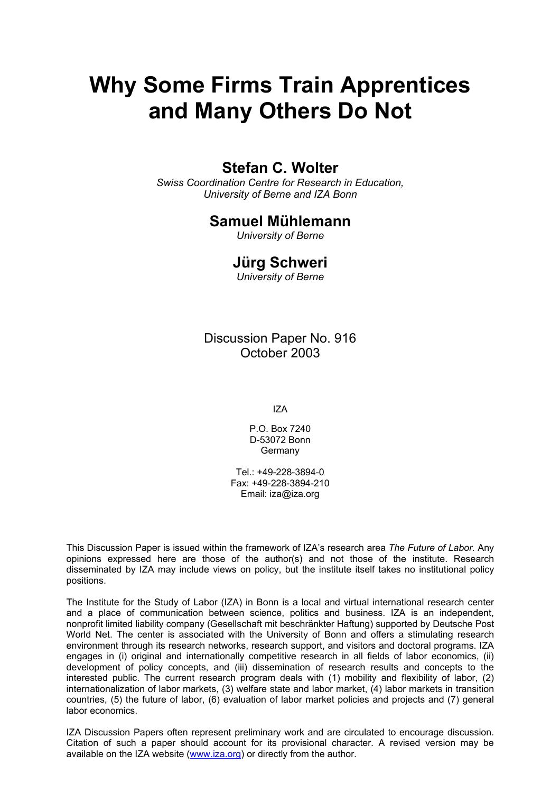# **Why Some Firms Train Apprentices and Many Others Do Not**

## **Stefan C. Wolter**

*Swiss Coordination Centre for Research in Education, University of Berne and IZA Bonn* 

## **Samuel Mühlemann**

*University of Berne* 

## **Jürg Schweri**

*University of Berne*

Discussion Paper No. 916 October 2003

IZA

P.O. Box 7240 D-53072 Bonn Germany

 $Tel + 49-228-3894-0$ Fax: +49-228-3894-210 Email: [iza@iza.org](mailto:iza@iza.org)

This Discussion Paper is issued within the framework of IZA's research area *The Future of Labor.* Any opinions expressed here are those of the author(s) and not those of the institute. Research disseminated by IZA may include views on policy, but the institute itself takes no institutional policy positions.

The Institute for the Study of Labor (IZA) in Bonn is a local and virtual international research center and a place of communication between science, politics and business. IZA is an independent, nonprofit limited liability company (Gesellschaft mit beschränkter Haftung) supported by Deutsche Post World Net. The center is associated with the University of Bonn and offers a stimulating research environment through its research networks, research support, and visitors and doctoral programs. IZA engages in (i) original and internationally competitive research in all fields of labor economics, (ii) development of policy concepts, and (iii) dissemination of research results and concepts to the interested public. The current research program deals with (1) mobility and flexibility of labor, (2) internationalization of labor markets, (3) welfare state and labor market, (4) labor markets in transition countries, (5) the future of labor, (6) evaluation of labor market policies and projects and (7) general labor economics.

IZA Discussion Papers often represent preliminary work and are circulated to encourage discussion. Citation of such a paper should account for its provisional character. A revised version may be available on the IZA website ([www.iza.org](http://www.iza.org/)) or directly from the author.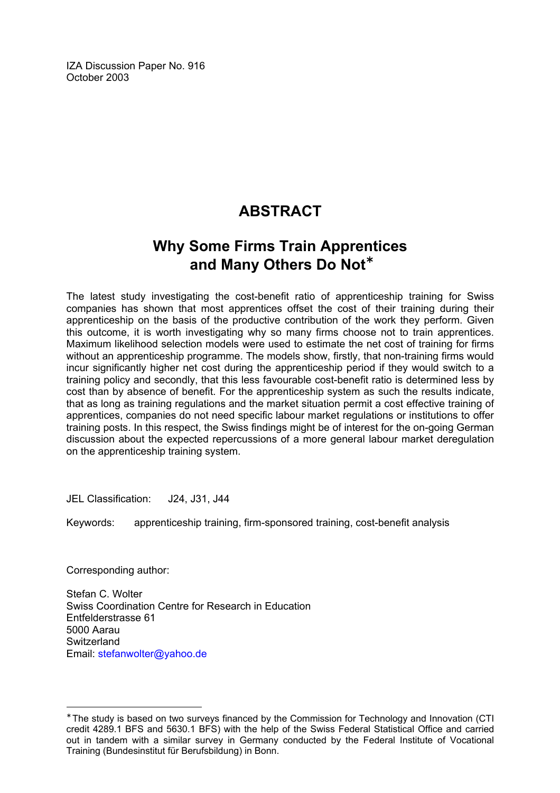IZA Discussion Paper No. 916 October 2003

## **ABSTRACT**

## **Why Some Firms Train Apprentices and Many Others Do Not**[∗](#page-2-0)

The latest study investigating the cost-benefit ratio of apprenticeship training for Swiss companies has shown that most apprentices offset the cost of their training during their apprenticeship on the basis of the productive contribution of the work they perform. Given this outcome, it is worth investigating why so many firms choose not to train apprentices. Maximum likelihood selection models were used to estimate the net cost of training for firms without an apprenticeship programme. The models show, firstly, that non-training firms would incur significantly higher net cost during the apprenticeship period if they would switch to a training policy and secondly, that this less favourable cost-benefit ratio is determined less by cost than by absence of benefit. For the apprenticeship system as such the results indicate, that as long as training regulations and the market situation permit a cost effective training of apprentices, companies do not need specific labour market regulations or institutions to offer training posts. In this respect, the Swiss findings might be of interest for the on-going German discussion about the expected repercussions of a more general labour market deregulation on the apprenticeship training system.

JEL Classification: J24, J31, J44

Keywords: apprenticeship training, firm-sponsored training, cost-benefit analysis

Corresponding author:

 $\overline{a}$ 

Stefan C. Wolter Swiss Coordination Centre for Research in Education Entfelderstrasse 61 5000 Aarau **Switzerland** Email: [stefanwolter@yahoo.de](mailto:stefanwolter@yahoo.de) 

<span id="page-2-0"></span><sup>∗</sup> The study is based on two surveys financed by the Commission for Technology and Innovation (CTI credit 4289.1 BFS and 5630.1 BFS) with the help of the Swiss Federal Statistical Office and carried out in tandem with a similar survey in Germany conducted by the Federal Institute of Vocational Training (Bundesinstitut für Berufsbildung) in Bonn.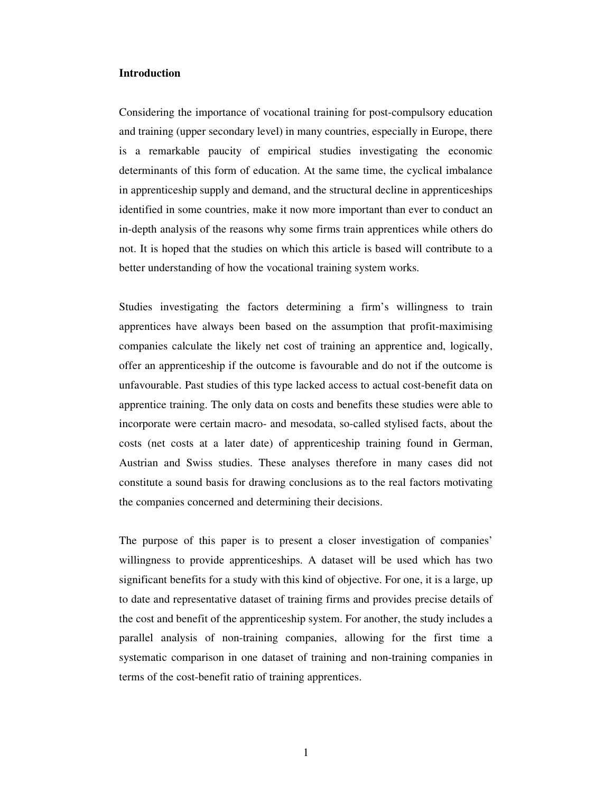#### **Introduction**

Considering the importance of vocational training for post-compulsory education and training (upper secondary level) in many countries, especially in Europe, there is a remarkable paucity of empirical studies investigating the economic determinants of this form of education. At the same time, the cyclical imbalance in apprenticeship supply and demand, and the structural decline in apprenticeships identified in some countries, make it now more important than ever to conduct an in-depth analysis of the reasons why some firms train apprentices while others do not. It is hoped that the studies on which this article is based will contribute to a better understanding of how the vocational training system works.

Studies investigating the factors determining a firm's willingness to train apprentices have always been based on the assumption that profit-maximising companies calculate the likely net cost of training an apprentice and, logically, offer an apprenticeship if the outcome is favourable and do not if the outcome is unfavourable. Past studies of this type lacked access to actual cost-benefit data on apprentice training. The only data on costs and benefits these studies were able to incorporate were certain macro- and mesodata, so-called stylised facts, about the costs (net costs at a later date) of apprenticeship training found in German, Austrian and Swiss studies. These analyses therefore in many cases did not constitute a sound basis for drawing conclusions as to the real factors motivating the companies concerned and determining their decisions.

The purpose of this paper is to present a closer investigation of companies' willingness to provide apprenticeships. A dataset will be used which has two significant benefits for a study with this kind of objective. For one, it is a large, up to date and representative dataset of training firms and provides precise details of the cost and benefit of the apprenticeship system. For another, the study includes a parallel analysis of non-training companies, allowing for the first time a systematic comparison in one dataset of training and non-training companies in terms of the cost-benefit ratio of training apprentices.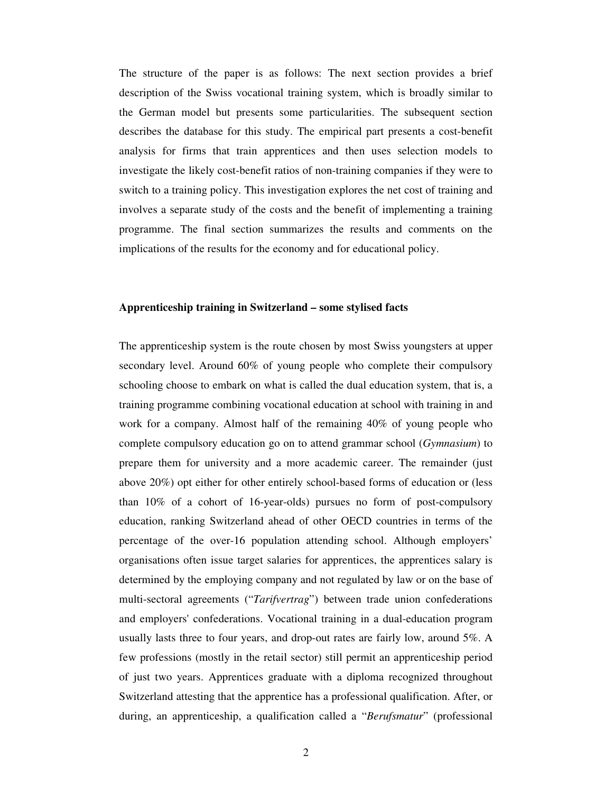The structure of the paper is as follows: The next section provides a brief description of the Swiss vocational training system, which is broadly similar to the German model but presents some particularities. The subsequent section describes the database for this study. The empirical part presents a cost-benefit analysis for firms that train apprentices and then uses selection models to investigate the likely cost-benefit ratios of non-training companies if they were to switch to a training policy. This investigation explores the net cost of training and involves a separate study of the costs and the benefit of implementing a training programme. The final section summarizes the results and comments on the implications of the results for the economy and for educational policy.

#### **Apprenticeship training in Switzerland – some stylised facts**

The apprenticeship system is the route chosen by most Swiss youngsters at upper secondary level. Around 60% of young people who complete their compulsory schooling choose to embark on what is called the dual education system, that is, a training programme combining vocational education at school with training in and work for a company. Almost half of the remaining 40% of young people who complete compulsory education go on to attend grammar school (*Gymnasium*) to prepare them for university and a more academic career. The remainder (just above 20%) opt either for other entirely school-based forms of education or (less than 10% of a cohort of 16-year-olds) pursues no form of post-compulsory education, ranking Switzerland ahead of other OECD countries in terms of the percentage of the over-16 population attending school. Although employers' organisations often issue target salaries for apprentices, the apprentices salary is determined by the employing company and not regulated by law or on the base of multi-sectoral agreements ("*Tarifvertrag*") between trade union confederations and employers'confederations. Vocational training in a dual-education program usually lasts three to four years, and drop-out rates are fairly low, around 5%. A few professions (mostly in the retail sector) still permit an apprenticeship period of just two years. Apprentices graduate with a diploma recognized throughout Switzerland attesting that the apprentice has a professional qualification. After, or during, an apprenticeship, a qualification called a "*Berufsmatur*" (professional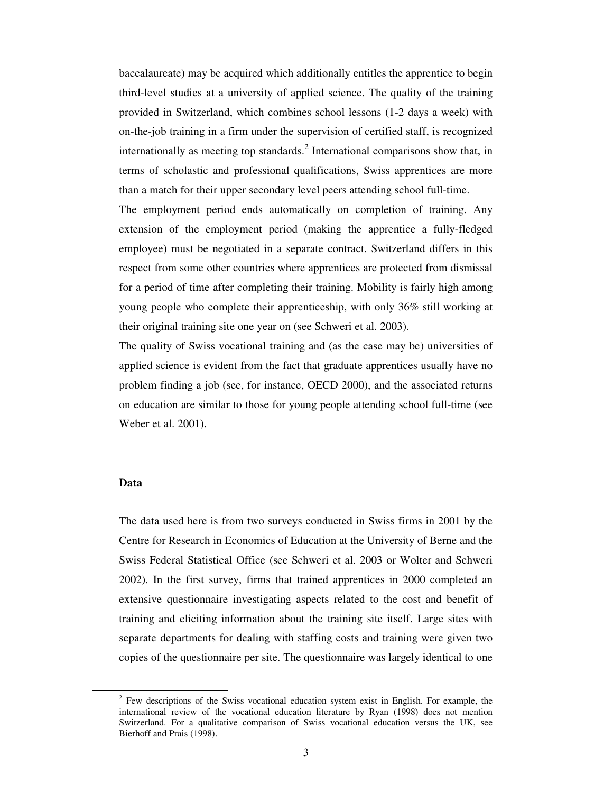baccalaureate) may be acquired which additionally entitles the apprentice to begin third-level studies at a university of applied science. The quality of the training provided in Switzerland, which combines school lessons (1-2 days a week) with on-the-job training in a firm under the supervision of certified staff, is recognized internationally as meeting top standards. 2 International comparisons show that, in terms of scholastic and professional qualifications, Swiss apprentices are more than a match for their upper secondary level peers attending school full-time.

The employment period ends automatically on completion of training. Any extension of the employment period (making the apprentice a fully-fledged employee) must be negotiated in a separate contract. Switzerland differs in this respect from some other countries where apprentices are protected from dismissal for a period of time after completing their training. Mobility is fairly high among young people who complete their apprenticeship, with only 36% still working at their original training site one year on (see Schweri et al. 2003).

The quality of Swiss vocational training and (as the case may be) universities of applied science is evident from the fact that graduate apprentices usually have no problem finding a job (see, for instance, OECD 2000), and the associated returns on education are similar to those for young people attending school full-time (see Weber et al. 2001).

#### **Data**

The data used here is from two surveys conducted in Swiss firms in 2001 by the Centre for Research in Economics of Education at the University of Berne and the Swiss Federal Statistical Office (see Schweri et al. 2003 or Wolter and Schweri 2002). In the first survey, firms that trained apprentices in 2000 completed an extensive questionnaire investigating aspects related to the cost and benefit of training and eliciting information about the training site itself. Large sites with separate departments for dealing with staffing costs and training were given two copies of the questionnaire per site. The questionnaire was largely identical to one

 $2$  Few descriptions of the Swiss vocational education system exist in English. For example, the international review of the vocational education literature by Ryan (1998) does not mention Switzerland. For a qualitative comparison of Swiss vocational education versus the UK, see Bierhoff and Prais (1998).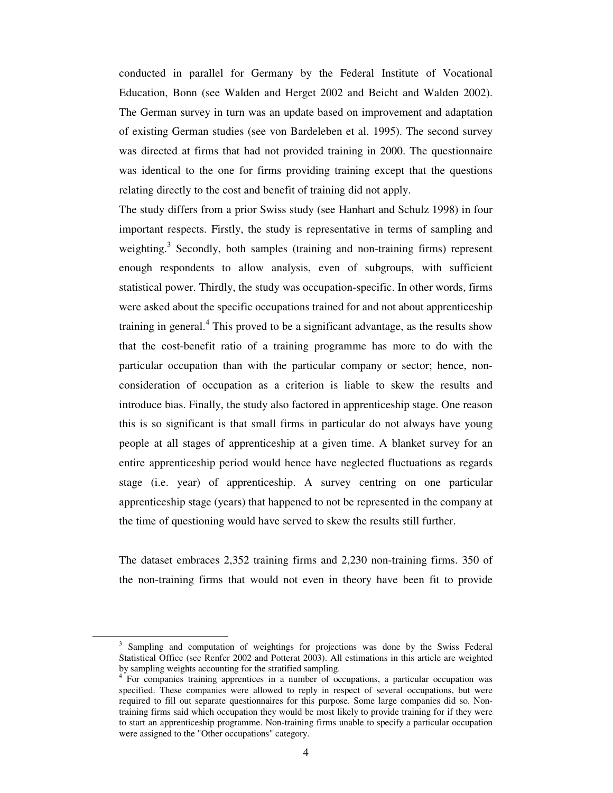conducted in parallel for Germany by the Federal Institute of Vocational Education, Bonn (see Walden and Herget 2002 and Beicht and Walden 2002). The German survey in turn was an update based on improvement and adaptation of existing German studies (see von Bardeleben et al. 1995). The second survey was directed at firms that had not provided training in 2000. The questionnaire was identical to the one for firms providing training except that the questions relating directly to the cost and benefit of training did not apply.

The study differs from a prior Swiss study (see Hanhart and Schulz 1998) in four important respects. Firstly, the study is representative in terms of sampling and weighting.<sup>3</sup> Secondly, both samples (training and non-training firms) represent enough respondents to allow analysis, even of subgroups, with sufficient statistical power. Thirdly, the study was occupation-specific. In other words, firms were asked about the specific occupations trained for and not about apprenticeship training in general.<sup>4</sup> This proved to be a significant advantage, as the results show that the cost-benefit ratio of a training programme has more to do with the particular occupation than with the particular company or sector; hence, nonconsideration of occupation as a criterion is liable to skew the results and introduce bias. Finally, the study also factored in apprenticeship stage. One reason this is so significant is that small firms in particular do not always have young people at all stages of apprenticeship at a given time. A blanket survey for an entire apprenticeship period would hence have neglected fluctuations as regards stage (i.e. year) of apprenticeship. A survey centring on one particular apprenticeship stage (years) that happened to not be represented in the company at the time of questioning would have served to skew the results still further.

The dataset embraces 2,352 training firms and 2,230 non-training firms. 350 of the non-training firms that would not even in theory have been fit to provide

<sup>&</sup>lt;sup>3</sup> Sampling and computation of weightings for projections was done by the Swiss Federal Statistical Office (see Renfer 2002 and Potterat 2003). All estimations in this article are weighted by sampling weights accounting for the stratified sampling.

<sup>4</sup> For companies training apprentices in a number of occupations, a particular occupation was specified. These companies were allowed to reply in respect of several occupations, but were required to fill out separate questionnaires for this purpose. Some large companies did so. Nontraining firms said which occupation they would be most likely to provide training for if they were to start an apprenticeship programme. Non-training firms unable to specify a particular occupation were assigned to the "Other occupations" category.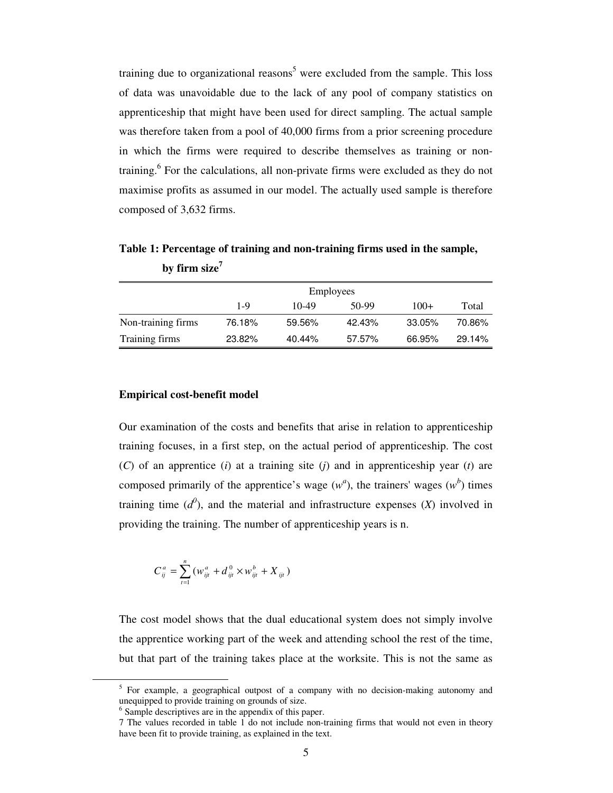training due to organizational reasons<sup>5</sup> were excluded from the sample. This loss of data was unavoidable due to the lack of any pool of company statistics on apprenticeship that might have been used for direct sampling. The actual sample was therefore taken from a pool of 40,000 firms from a prior screening procedure in which the firms were required to describe themselves as training or nontraining.<sup>6</sup> For the calculations, all non-private firms were excluded as they do not maximise profits as assumed in our model. The actually used sample is therefore composed of 3,632 firms.

Employees 1-9 10-49 50-99 100+ Total Non-training firms 76.18% 59.56% 42.43% 33.05% 70.86% Training firms 23.82% 40.44% 57.57% 66.95% 29.14%

**Table 1: Percentage of training and non-training firms used in the sample, by firm size 7**

#### **Empirical cost-benefit model**

Our examination of the costs and benefits that arise in relation to apprenticeship training focuses, in a first step, on the actual period of apprenticeship. The cost (*C*) of an apprentice (*i*) at a training site (*j*) and in apprenticeship year (*t*) are composed primarily of the apprentice's wage  $(w^a)$ , the trainers' wages  $(w^b)$  times training time  $(d^0)$ , and the material and infrastructure expenses  $(X)$  involved in providing the training. The number of apprenticeship years is n.

$$
C_{ij}^a = \sum_{t=1}^n (w_{ijt}^a + d_{ijt}^0 \times w_{ijt}^b + X_{ijt})
$$

The cost model shows that the dual educational system does not simply involve the apprentice working part of the week and attending school the rest of the time, but that part of the training takes place at the worksite. This is not the same as

<sup>&</sup>lt;sup>5</sup> For example, a geographical outpost of a company with no decision-making autonomy and unequipped to provide training on grounds of size.

<sup>&</sup>lt;sup>6</sup> Sample descriptives are in the appendix of this paper.

<sup>7</sup> The values recorded in table 1 do not include non-training firms that would not even in theory have been fit to provide training, as explained in the text.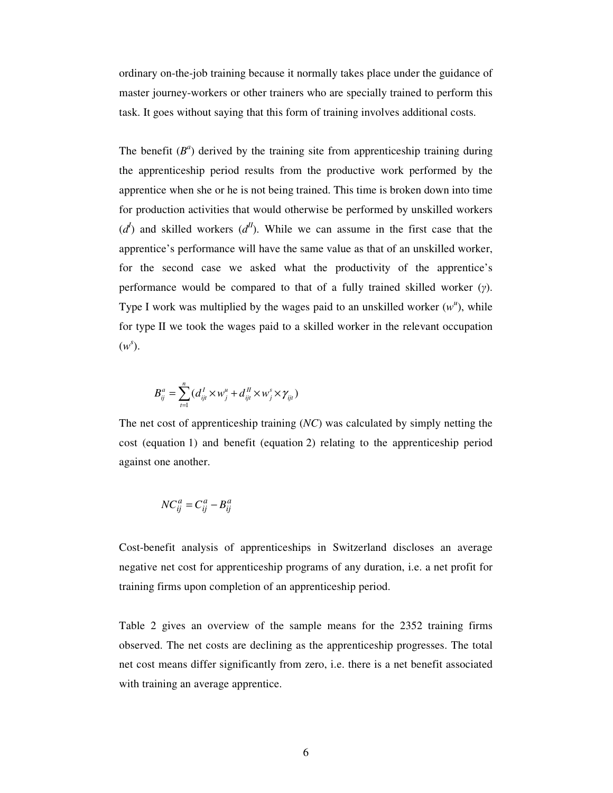ordinary on-the-job training because it normally takes place under the guidance of master journey-workers or other trainers who are specially trained to perform this task. It goes without saying that this form of training involves additional costs.

The benefit  $(B^a)$  derived by the training site from apprenticeship training during the apprenticeship period results from the productive work performed by the apprentice when she or he is not being trained. This time is broken down into time for production activities that would otherwise be performed by unskilled workers  $(d<sup>l</sup>)$  and skilled workers  $(d<sup>l</sup>)$ . While we can assume in the first case that the apprentice's performance will have the same value as that of an unskilled worker, for the second case we asked what the productivity of the apprentice's performance would be compared to that of a fully trained skilled worker  $(y)$ . Type I work was multiplied by the wages paid to an unskilled worker  $(w^u)$ , while for type II we took the wages paid to a skilled worker in the relevant occupation  $(w^s)$ .

$$
B_{ij}^a = \sum_{t=1}^n (d_{ijt}^I \times w_j^u + d_{ijt}^H \times w_j^s \times \gamma_{ijt})
$$

The net cost of apprenticeship training (*NC*) was calculated by simply netting the cost (equation 1) and benefit (equation 2) relating to the apprenticeship period against one another.

$$
NC_{ij}^a = C_{ij}^a - B_{ij}^a
$$

Cost-benefit analysis of apprenticeships in Switzerland discloses an average negative net cost for apprenticeship programs of any duration, i.e. a net profit for training firms upon completion of an apprenticeship period.

Table 2 gives an overview of the sample means for the 2352 training firms observed. The net costs are declining as the apprenticeship progresses. The total net cost means differ significantly from zero, i.e. there is a net benefit associated with training an average apprentice.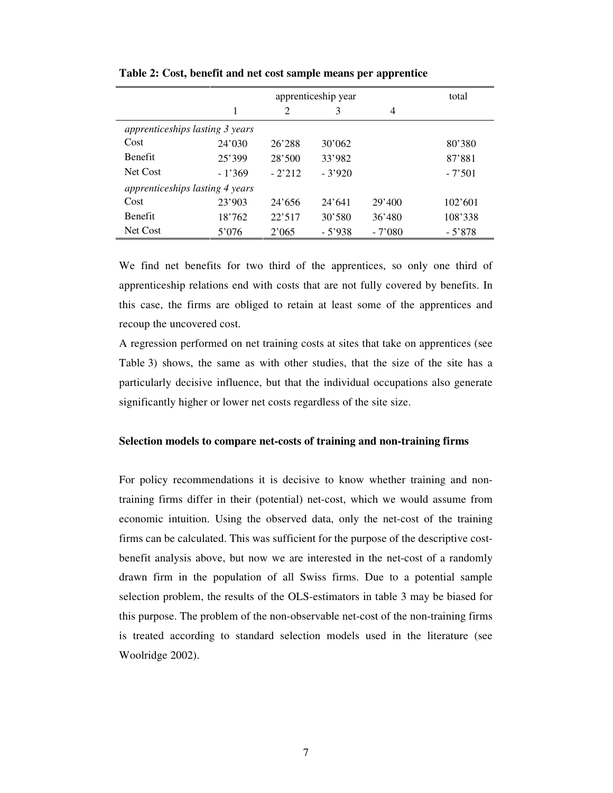|                                 |          | apprenticeship year |          |          |          |  |
|---------------------------------|----------|---------------------|----------|----------|----------|--|
|                                 |          | $\mathfrak{D}$      | 3        | 4        |          |  |
| apprenticeships lasting 3 years |          |                     |          |          |          |  |
| Cost                            | 24'030   | 26'288              | 30'062   |          | 80'380   |  |
| <b>Benefit</b>                  | 25'399   | 28'500              | 33'982   |          | 87'881   |  |
| Net Cost                        | $-1'369$ | $-2'212$            | $-3'920$ |          | $-7'501$ |  |
| apprenticeships lasting 4 years |          |                     |          |          |          |  |
| Cost                            | 23'903   | 24'656              | 24'641   | 29'400   | 102'601  |  |
| <b>Benefit</b>                  | 18'762   | 22'517              | 30'580   | 36'480   | 108'338  |  |
| Net Cost                        | 5'076    | 2'065               | $-5'938$ | $-7'080$ | $-5'878$ |  |

**Table 2: Cost, benefit and net cost sample means per apprentice**

We find net benefits for two third of the apprentices, so only one third of apprenticeship relations end with costs that are not fully covered by benefits. In this case, the firms are obliged to retain at least some of the apprentices and recoup the uncovered cost.

A regression performed on net training costs at sites that take on apprentices (see Table 3) shows, the same as with other studies, that the size of the site has a particularly decisive influence, but that the individual occupations also generate significantly higher or lower net costs regardless of the site size.

#### **Selection models to compare net-costs of training and non-training firms**

For policy recommendations it is decisive to know whether training and nontraining firms differ in their (potential) net-cost, which we would assume from economic intuition. Using the observed data, only the net-cost of the training firms can be calculated. This was sufficient for the purpose of the descriptive costbenefit analysis above, but now we are interested in the net-cost of a randomly drawn firm in the population of all Swiss firms. Due to a potential sample selection problem, the results of the OLS-estimators in table 3 may be biased for this purpose. The problem of the non-observable net-cost of the non-training firms is treated according to standard selection models used in the literature (see Woolridge 2002).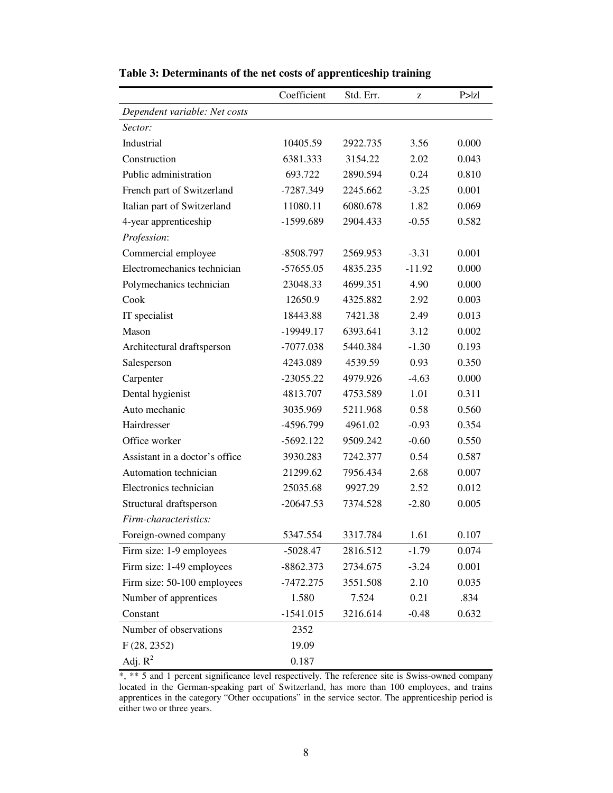|                                | Coefficient | Std. Err. | z        | P >  Z |
|--------------------------------|-------------|-----------|----------|--------|
| Dependent variable: Net costs  |             |           |          |        |
| Sector:                        |             |           |          |        |
| Industrial                     | 10405.59    | 2922.735  | 3.56     | 0.000  |
| Construction                   | 6381.333    | 3154.22   | 2.02     | 0.043  |
| Public administration          | 693.722     | 2890.594  | 0.24     | 0.810  |
| French part of Switzerland     | -7287.349   | 2245.662  | $-3.25$  | 0.001  |
| Italian part of Switzerland    | 11080.11    | 6080.678  | 1.82     | 0.069  |
| 4-year apprenticeship          | -1599.689   | 2904.433  | $-0.55$  | 0.582  |
| Profession:                    |             |           |          |        |
| Commercial employee            | $-8508.797$ | 2569.953  | $-3.31$  | 0.001  |
| Electromechanics technician    | $-57655.05$ | 4835.235  | $-11.92$ | 0.000  |
| Polymechanics technician       | 23048.33    | 4699.351  | 4.90     | 0.000  |
| Cook                           | 12650.9     | 4325.882  | 2.92     | 0.003  |
| IT specialist                  | 18443.88    | 7421.38   | 2.49     | 0.013  |
| Mason                          | $-19949.17$ | 6393.641  | 3.12     | 0.002  |
| Architectural draftsperson     | $-7077.038$ | 5440.384  | $-1.30$  | 0.193  |
| Salesperson                    | 4243.089    | 4539.59   | 0.93     | 0.350  |
| Carpenter                      | $-23055.22$ | 4979.926  | $-4.63$  | 0.000  |
| Dental hygienist               | 4813.707    | 4753.589  | 1.01     | 0.311  |
| Auto mechanic                  | 3035.969    | 5211.968  | 0.58     | 0.560  |
| Hairdresser                    | -4596.799   | 4961.02   | $-0.93$  | 0.354  |
| Office worker                  | $-5692.122$ | 9509.242  | $-0.60$  | 0.550  |
| Assistant in a doctor's office | 3930.283    | 7242.377  | 0.54     | 0.587  |
| Automation technician          | 21299.62    | 7956.434  | 2.68     | 0.007  |
| Electronics technician         | 25035.68    | 9927.29   | 2.52     | 0.012  |
| Structural draftsperson        | $-20647.53$ | 7374.528  | $-2.80$  | 0.005  |
| Firm-characteristics:          |             |           |          |        |
| Foreign-owned company          | 5347.554    | 3317.784  | 1.61     | 0.107  |
| Firm size: 1-9 employees       | $-5028.47$  | 2816.512  | $-1.79$  | 0.074  |
| Firm size: 1-49 employees      | -8862.373   | 2734.675  | $-3.24$  | 0.001  |
| Firm size: 50-100 employees    | $-7472.275$ | 3551.508  | 2.10     | 0.035  |
| Number of apprentices          | 1.580       | 7.524     | 0.21     | .834   |
| Constant                       | $-1541.015$ | 3216.614  | $-0.48$  | 0.632  |
| Number of observations         | 2352        |           |          |        |
| F(28, 2352)                    | 19.09       |           |          |        |
| Adj. $R^2$                     | 0.187       |           |          |        |

| Table 3: Determinants of the net costs of apprenticeship training |  |  |
|-------------------------------------------------------------------|--|--|
|                                                                   |  |  |

\*, \*\* 5 and 1 percent significance level respectively. The reference site is Swiss-owned company located in the German-speaking part of Switzerland, has more than 100 employees, and trains apprentices in the category "Other occupations" in the service sector. The apprenticeship period is either two or three years.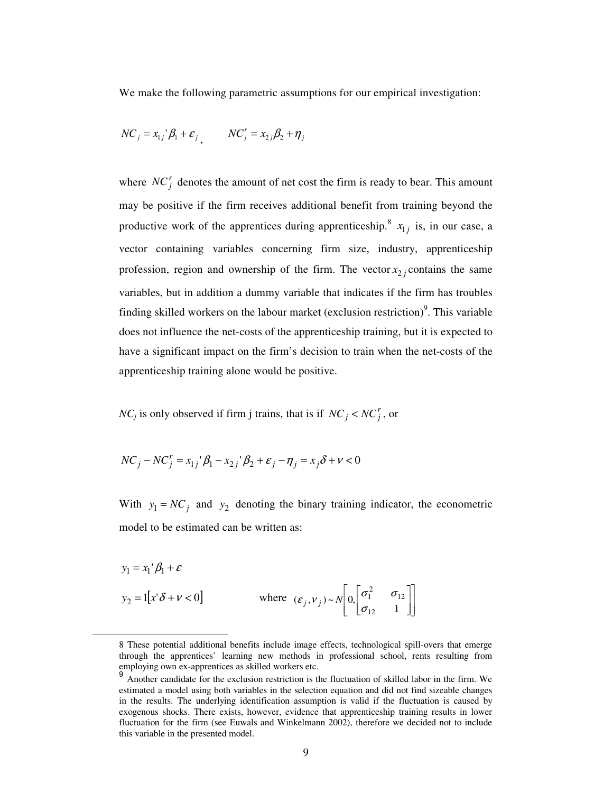We make the following parametric assumptions for our empirical investigation:

$$
NC_j = x_{1j}^{\prime} \beta_1 + \varepsilon_j, \qquad NC_j^r = x_{2j} \beta_2 + \eta_j
$$

where  $NC_j^r$  denotes the amount of net cost the firm is ready to bear. This amount may be positive if the firm receives additional benefit from training beyond the productive work of the apprentices during apprenticeship.<sup>8</sup>  $x_{1j}$  is, in our case, a vector containing variables concerning firm size, industry, apprenticeship profession, region and ownership of the firm. The vector  $x_{2j}$  contains the same variables, but in addition a dummy variable that indicates if the firm has troubles finding skilled workers on the labour market (exclusion restriction)<sup>9</sup>. This variable does not influence the net-costs of the apprenticeship training, but it is expected to have a significant impact on the firm's decision to train when the net-costs of the apprenticeship training alone would be positive.

*NC<sub>j</sub>* is only observed if firm j trains, that is if  $NC_j < NC_j^r$ , or

$$
NC_j - NC_j' = x_{1j'}\beta_1 - x_{2j'}\beta_2 + \varepsilon_j - \eta_j = x_j\delta + \nu < 0
$$

With  $y_1 = NC_j$  and  $y_2$  denoting the binary training indicator, the econometric model to be estimated can be written as:

$$
y_1 = x_1' \beta_1 + \varepsilon
$$
  
\n
$$
y_2 = 1[x' \delta + v < 0]
$$
 where  $(\varepsilon_j, v_j) \sim N \left[ 0, \begin{bmatrix} \sigma_1^2 & \sigma_{12} \\ \sigma_{12} & 1 \end{bmatrix} \right]$ 

<sup>8</sup> These potential additional benefits include image effects, technological spill-overs that emerge through the apprentices' learning new methods in professional school, rents resulting from employing own ex-apprentices as skilled workers etc.

<sup>9</sup> Another candidate for the exclusion restriction is the fluctuation of skilled labor in the firm. We estimated a model using both variables in the selection equation and did not find sizeable changes in the results. The underlying identification assumption is valid if the fluctuation is caused by exogenous shocks. There exists, however, evidence that apprenticeship training results in lower fluctuation for the firm (see Euwals and Winkelmann 2002), therefore we decided not to include this variable in the presented model.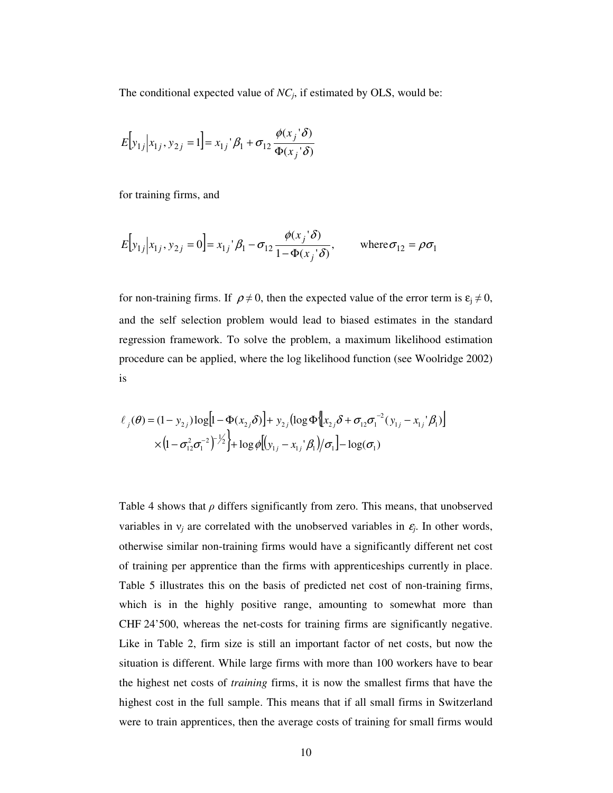The conditional expected value of *NC<sup>j</sup>* , if estimated by OLS, would be:

$$
E[y_{1j} | x_{1j}, y_{2j} = 1] = x_{1j} \cdot \beta_1 + \sigma_{12} \frac{\phi(x_j \cdot \delta)}{\Phi(x_j \cdot \delta)}
$$

for training firms, and

$$
E[y_{1j}|x_{1j}, y_{2j} = 0] = x_{1j} \cdot \beta_1 - \sigma_{12} \frac{\phi(x_j \cdot \delta)}{1 - \Phi(x_j \cdot \delta)}, \quad \text{where } \sigma_{12} = \rho \sigma_1
$$

for non-training firms. If  $\rho \neq 0$ , then the expected value of the error term is  $\varepsilon_i \neq 0$ , and the self selection problem would lead to biased estimates in the standard regression framework. To solve the problem, a maximum likelihood estimation procedure can be applied, where the log likelihood function (see Woolridge 2002) is

$$
\ell_j(\theta) = (1 - y_{2j}) \log[1 - \Phi(x_{2j}\delta)] + y_{2j} (\log \Phi[|x_{2j}\delta + \sigma_{12}\sigma_1^{-2}(y_{1j} - x_{1j}\delta_1)]
$$
  
 
$$
\times (1 - \sigma_{12}^2 \sigma_1^{-2})^{-1/2} + \log \phi[|y_{1j} - x_{1j}\delta_1|] - \log(\sigma_1)
$$

Table 4 shows that  $\rho$  differs significantly from zero. This means, that unobserved variables in  $v_j$  are correlated with the unobserved variables in  $\varepsilon_j$ . In other words, otherwise similar non-training firms would have a significantly different net cost of training per apprentice than the firms with apprenticeships currently in place. Table 5 illustrates this on the basis of predicted net cost of non-training firms, which is in the highly positive range, amounting to somewhat more than CHF 24'500, whereas the net-costs for training firms are significantly negative. Like in Table 2, firm size is still an important factor of net costs, but now the situation is different. While large firms with more than 100 workers have to bear the highest net costs of *training* firms, it is now the smallest firms that have the highest cost in the full sample. This means that if all small firms in Switzerland were to train apprentices, then the average costs of training for small firms would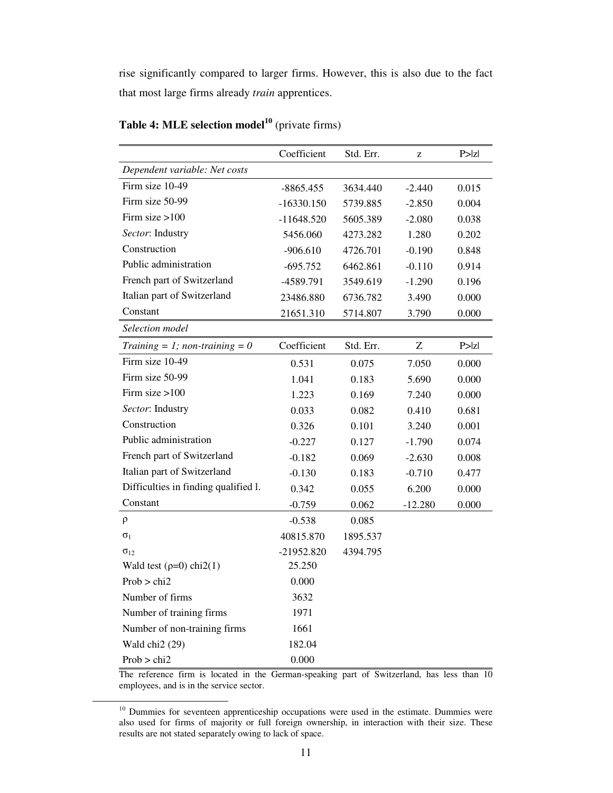rise significantly compared to larger firms. However, this is also due to the fact that most large firms already *train* apprentices.

|                                      | Coefficient  | Std. Err. | Z         | P >  Z |
|--------------------------------------|--------------|-----------|-----------|--------|
| Dependent variable: Net costs        |              |           |           |        |
| Firm size 10-49                      | $-8865.455$  | 3634.440  | $-2.440$  | 0.015  |
| Firm size 50-99                      | -16330.150   | 5739.885  | $-2.850$  | 0.004  |
| Firm size $>100$                     | $-11648.520$ | 5605.389  | $-2.080$  | 0.038  |
| Sector: Industry                     | 5456.060     | 4273.282  | 1.280     | 0.202  |
| Construction                         | $-906.610$   | 4726.701  | $-0.190$  | 0.848  |
| Public administration                | $-695.752$   | 6462.861  | $-0.110$  | 0.914  |
| French part of Switzerland           | -4589.791    | 3549.619  | $-1.290$  | 0.196  |
| Italian part of Switzerland          | 23486.880    | 6736.782  | 3.490     | 0.000  |
| Constant                             | 21651.310    | 5714.807  | 3.790     | 0.000  |
| Selection model                      |              |           |           |        |
| Training = 1; non-training = 0       | Coefficient  | Std. Err. | Ζ         | P >  Z |
| Firm size 10-49                      | 0.531        | 0.075     | 7.050     | 0.000  |
| Firm size 50-99                      | 1.041        | 0.183     | 5.690     | 0.000  |
| Firm size $>100$                     | 1.223        | 0.169     | 7.240     | 0.000  |
| Sector: Industry                     | 0.033        | 0.082     | 0.410     | 0.681  |
| Construction                         | 0.326        | 0.101     | 3.240     | 0.001  |
| Public administration                | $-0.227$     | 0.127     | $-1.790$  | 0.074  |
| French part of Switzerland           | $-0.182$     | 0.069     | $-2.630$  | 0.008  |
| Italian part of Switzerland          | $-0.130$     | 0.183     | $-0.710$  | 0.477  |
| Difficulties in finding qualified l. | 0.342        | 0.055     | 6.200     | 0.000  |
| Constant                             | $-0.759$     | 0.062     | $-12.280$ | 0.000  |
| $\rho$                               | $-0.538$     | 0.085     |           |        |
| $\sigma_1$                           | 40815.870    | 1895.537  |           |        |
| $\sigma_{12}$                        | $-21952.820$ | 4394.795  |           |        |
| Wald test $(\rho=0)$ chi2(1)         | 25.250       |           |           |        |
| Prob > chi2                          | 0.000        |           |           |        |
| Number of firms                      | 3632         |           |           |        |
| Number of training firms             | 1971         |           |           |        |
| Number of non-training firms         | 1661         |           |           |        |
| Wald chi2 (29)                       | 182.04       |           |           |        |
| Prob > chi2                          | 0.000        |           |           |        |

**Table 4: MLE selection model 10** (private firms)

The reference firm is located in the German-speaking part of Switzerland, has less than 10 employees, and is in the service sector.

<sup>&</sup>lt;sup>10</sup> Dummies for seventeen apprenticeship occupations were used in the estimate. Dummies were also used for firms of majority or full foreign ownership, in interaction with their size. These results are not stated separately owing to lack of space.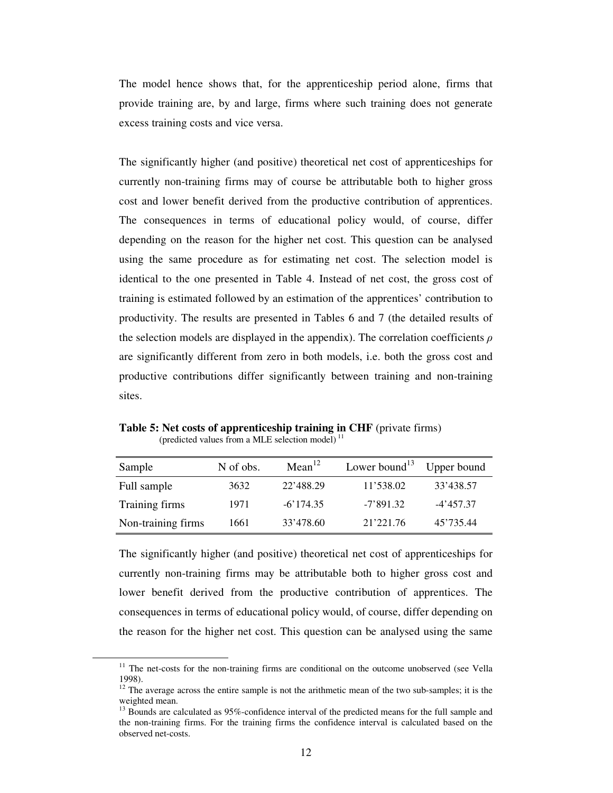The model hence shows that, for the apprenticeship period alone, firms that provide training are, by and large, firms where such training does not generate excess training costs and vice versa.

The significantly higher (and positive) theoretical net cost of apprenticeships for currently non-training firms may of course be attributable both to higher gross cost and lower benefit derived from the productive contribution of apprentices. The consequences in terms of educational policy would, of course, differ depending on the reason for the higher net cost. This question can be analysed using the same procedure as for estimating net cost. The selection model is identical to the one presented in Table 4. Instead of net cost, the gross cost of training is estimated followed by an estimation of the apprentices' contribution to productivity. The results are presented in Tables 6 and 7 (the detailed results of the selection models are displayed in the appendix). The correlation coefficients  $\rho$ are significantly different from zero in both models, i.e. both the gross cost and productive contributions differ significantly between training and non-training sites.

| Sample             | N of obs. | Mean <sup>12</sup> | Lower bound <sup>13</sup> Upper bound |             |
|--------------------|-----------|--------------------|---------------------------------------|-------------|
| Full sample        | 3632      | 22'488.29          | 11'538.02                             | 33'438.57   |
| Training firms     | 1971      | $-6'174.35$        | $-7'891.32$                           | $-4'457.37$ |
| Non-training firms | 1661      | 33'478.60          | 21'221.76                             | 45'735.44   |

**Table 5: Net costs of apprenticeship training in CHF** (private firms) (predicted values from a MLE selection model) 11

The significantly higher (and positive) theoretical net cost of apprenticeships for currently non-training firms may be attributable both to higher gross cost and lower benefit derived from the productive contribution of apprentices. The consequences in terms of educational policy would, of course, differ depending on the reason for the higher net cost. This question can be analysed using the same

<sup>&</sup>lt;sup>11</sup> The net-costs for the non-training firms are conditional on the outcome unobserved (see Vella 1998).

 $12$  The average across the entire sample is not the arithmetic mean of the two sub-samples; it is the weighted mean.

<sup>&</sup>lt;sup>13</sup> Bounds are calculated as 95%-confidence interval of the predicted means for the full sample and the non-training firms. For the training firms the confidence interval is calculated based on the observed net-costs.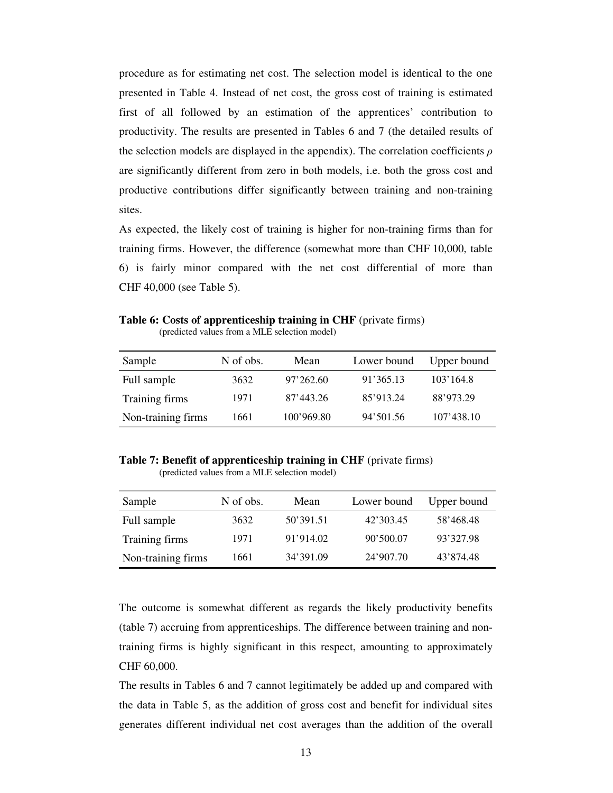procedure as for estimating net cost. The selection model is identical to the one presented in Table 4. Instead of net cost, the gross cost of training is estimated first of all followed by an estimation of the apprentices' contribution to productivity. The results are presented in Tables 6 and 7 (the detailed results of the selection models are displayed in the appendix). The correlation coefficients  $\rho$ are significantly different from zero in both models, i.e. both the gross cost and productive contributions differ significantly between training and non-training sites.

As expected, the likely cost of training is higher for non-training firms than for training firms. However, the difference (somewhat more than CHF 10,000, table 6) is fairly minor compared with the net cost differential of more than CHF 40,000 (see Table 5).

**Table 6: Costs of apprenticeship training in CHF** (private firms)

(predicted values from a MLE selection model)

| Sample             | N of obs. | Mean       | Lower bound | Upper bound |
|--------------------|-----------|------------|-------------|-------------|
| Full sample        | 3632      | 97'262.60  | 91'365.13   | 103'164.8   |
| Training firms     | 1971      | 87'443.26  | 85'913.24   | 88'973.29   |
| Non-training firms | 1661      | 100'969.80 | 94'501.56   | 107'438.10  |

**Table 7: Benefit of apprenticeship training in CHF** (private firms)

(predicted values from a MLE selection model)

| Sample             | N of obs. | Mean      | Lower bound | Upper bound |
|--------------------|-----------|-----------|-------------|-------------|
| Full sample        | 3632      | 50'391.51 | 42'303.45   | 58'468.48   |
| Training firms     | 1971      | 91'914.02 | 90'500.07   | 93'327.98   |
| Non-training firms | 1661      | 34'391.09 | 24'907.70   | 43'874.48   |

The outcome is somewhat different as regards the likely productivity benefits (table 7) accruing from apprenticeships. The difference between training and nontraining firms is highly significant in this respect, amounting to approximately CHF 60,000.

The results in Tables 6 and 7 cannot legitimately be added up and compared with the data in Table 5, as the addition of gross cost and benefit for individual sites generates different individual net cost averages than the addition of the overall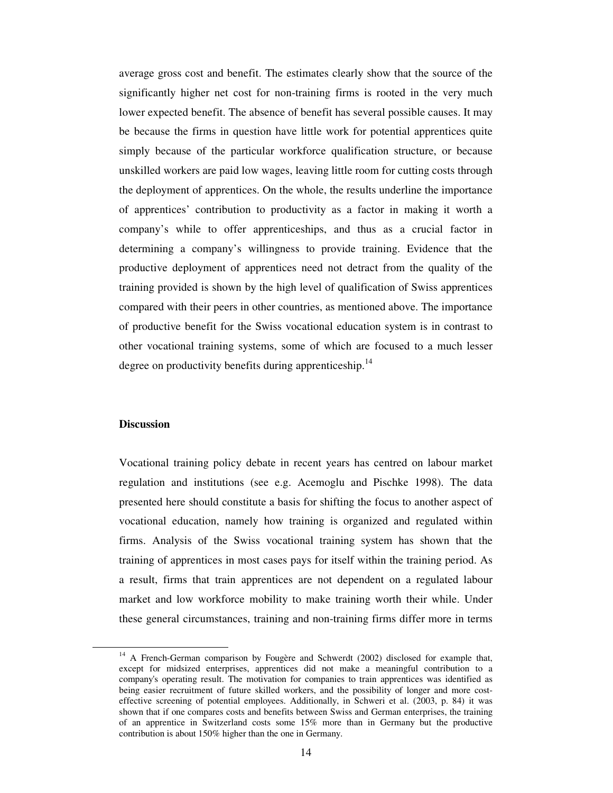average gross cost and benefit. The estimates clearly show that the source of the significantly higher net cost for non-training firms is rooted in the very much lower expected benefit. The absence of benefit has several possible causes. It may be because the firms in question have little work for potential apprentices quite simply because of the particular workforce qualification structure, or because unskilled workers are paid low wages, leaving little room for cutting costs through the deployment of apprentices. On the whole, the results underline the importance of apprentices' contribution to productivity as a factor in making it worth a company's while to offer apprenticeships, and thus as a crucial factor in determining a company's willingness to provide training. Evidence that the productive deployment of apprentices need not detract from the quality of the training provided is shown by the high level of qualification of Swiss apprentices compared with their peers in other countries, as mentioned above. The importance of productive benefit for the Swiss vocational education system is in contrast to other vocational training systems, some of which are focused to a much lesser degree on productivity benefits during apprenticeship.<sup>14</sup>

#### **Discussion**

Vocational training policy debate in recent years has centred on labour market regulation and institutions (see e.g. Acemoglu and Pischke 1998). The data presented here should constitute a basis for shifting the focus to another aspect of vocational education, namely how training is organized and regulated within firms. Analysis of the Swiss vocational training system has shown that the training of apprentices in most cases pays for itself within the training period. As a result, firms that train apprentices are not dependent on a regulated labour market and low workforce mobility to make training worth their while. Under these general circumstances, training and non-training firms differ more in terms

<sup>&</sup>lt;sup>14</sup> A French-German comparison by Fougère and Schwerdt (2002) disclosed for example that, except for midsized enterprises, apprentices did not make a meaningful contribution to a company's operating result. The motivation for companies to train apprentices was identified as being easier recruitment of future skilled workers, and the possibility of longer and more costeffective screening of potential employees. Additionally, in Schweri et al. (2003, p. 84) it was shown that if one compares costs and benefits between Swiss and German enterprises, the training of an apprentice in Switzerland costs some 15% more than in Germany but the productive contribution is about 150% higher than the one in Germany.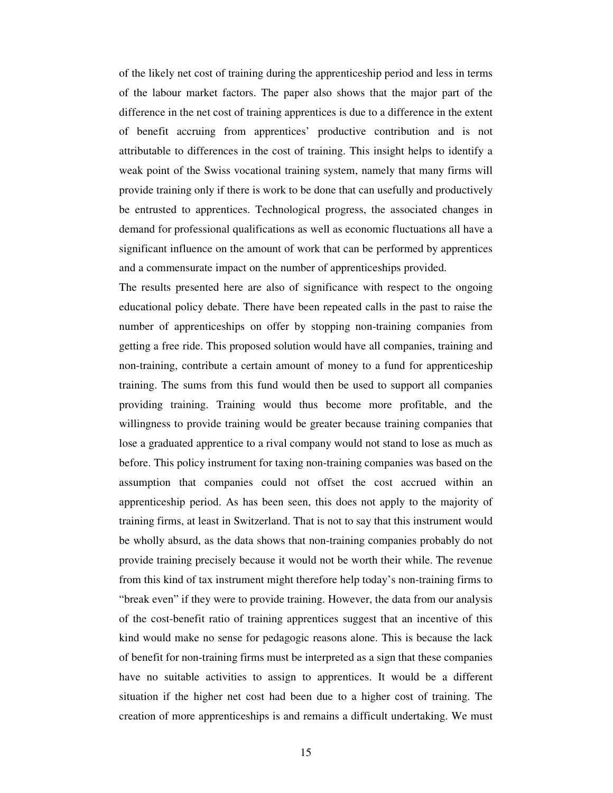of the likely net cost of training during the apprenticeship period and less in terms of the labour market factors. The paper also shows that the major part of the difference in the net cost of training apprentices is due to a difference in the extent of benefit accruing from apprentices' productive contribution and is not attributable to differences in the cost of training. This insight helps to identify a weak point of the Swiss vocational training system, namely that many firms will provide training only if there is work to be done that can usefully and productively be entrusted to apprentices. Technological progress, the associated changes in demand for professional qualifications as well as economic fluctuations all have a significant influence on the amount of work that can be performed by apprentices and a commensurate impact on the number of apprenticeships provided.

The results presented here are also of significance with respect to the ongoing educational policy debate. There have been repeated calls in the past to raise the number of apprenticeships on offer by stopping non-training companies from getting a free ride. This proposed solution would have all companies, training and non-training, contribute a certain amount of money to a fund for apprenticeship training. The sums from this fund would then be used to support all companies providing training. Training would thus become more profitable, and the willingness to provide training would be greater because training companies that lose a graduated apprentice to a rival company would not stand to lose as much as before. This policy instrument for taxing non-training companies was based on the assumption that companies could not offset the cost accrued within an apprenticeship period. As has been seen, this does not apply to the majority of training firms, at least in Switzerland. That is not to say that this instrument would be wholly absurd, as the data shows that non-training companies probably do not provide training precisely because it would not be worth their while. The revenue from this kind of tax instrument might therefore help today's non-training firms to "break even" if they were to provide training. However, the data from our analysis of the cost-benefit ratio of training apprentices suggest that an incentive of this kind would make no sense for pedagogic reasons alone. This is because the lack of benefit for non-training firms must be interpreted as a sign that these companies have no suitable activities to assign to apprentices. It would be a different situation if the higher net cost had been due to a higher cost of training. The creation of more apprenticeships is and remains a difficult undertaking. We must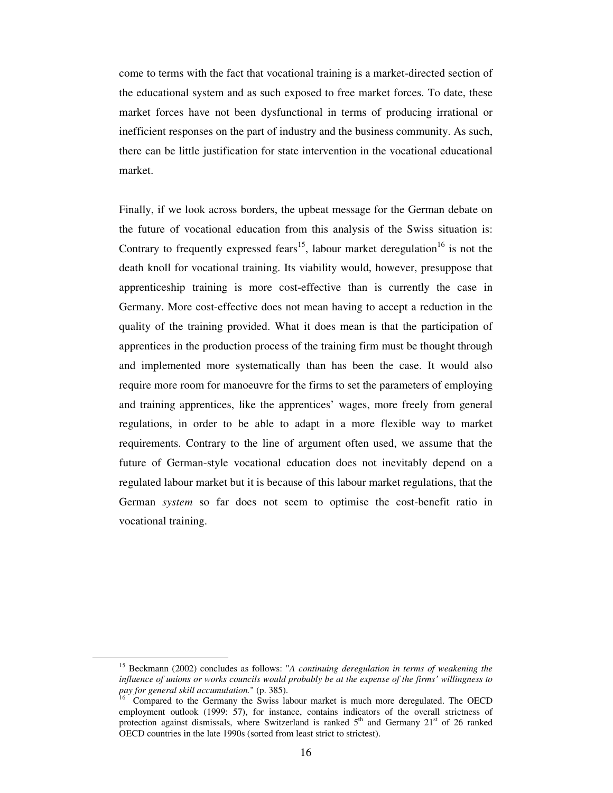come to terms with the fact that vocational training is a market-directed section of the educational system and as such exposed to free market forces. To date, these market forces have not been dysfunctional in terms of producing irrational or inefficient responses on the part of industry and the business community. As such, there can be little justification for state intervention in the vocational educational market.

Finally, if we look across borders, the upbeat message for the German debate on the future of vocational education from this analysis of the Swiss situation is: Contrary to frequently expressed fears<sup>15</sup>, labour market deregulation<sup>16</sup> is not the death knoll for vocational training. Its viability would, however, presuppose that apprenticeship training is more cost-effective than is currently the case in Germany. More cost-effective does not mean having to accept a reduction in the quality of the training provided. What it does mean is that the participation of apprentices in the production process of the training firm must be thought through and implemented more systematically than has been the case. It would also require more room for manoeuvre for the firms to set the parameters of employing and training apprentices, like the apprentices' wages, more freely from general regulations, in order to be able to adapt in a more flexible way to market requirements. Contrary to the line of argument often used, we assume that the future of German-style vocational education does not inevitably depend on a regulated labour market but it is because of this labour market regulations, that the German *system* so far does not seem to optimise the cost-benefit ratio in vocational training.

<sup>15</sup> Beckmann (2002) concludes as follows: "*A continuing deregulation in terms of weakening the influence of unions or works councils would probably be at the expense of the firms' willingness to pay for general skill accumulation.*" (p. 385).

<sup>&</sup>lt;sup>16</sup> Compared to the Germany the Swiss labour market is much more deregulated. The OECD employment outlook (1999: 57), for instance, contains indicators of the overall strictness of protection against dismissals, where Switzerland is ranked  $5<sup>th</sup>$  and Germany  $21<sup>st</sup>$  of 26 ranked OECD countries in the late 1990s (sorted from least strict to strictest).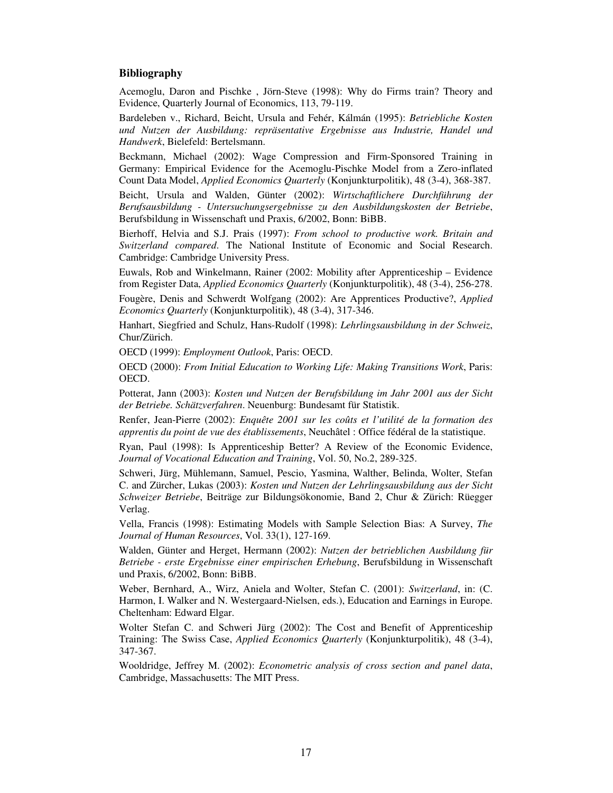#### **Bibliography**

Acemoglu, Daron and Pischke , Jörn-Steve (1998): Why do Firms train? Theory and Evidence, Quarterly Journal of Economics, 113, 79-119.

Bardeleben v., Richard, Beicht, Ursula and Fehér, Kálmán (1995): *Betriebliche Kosten und Nutzen der Ausbildung: repräsentative Ergebnisse aus Industrie, Handel und Handwerk*, Bielefeld: Bertelsmann.

Beckmann, Michael (2002): Wage Compression and Firm-Sponsored Training in Germany: Empirical Evidence for the Acemoglu-Pischke Model from a Zero-inflated Count Data Model, *Applied Economics Quarterly* (Konjunkturpolitik), 48 (3-4), 368-387.

Beicht, Ursula and Walden, Günter (2002): *Wirtschaftlichere Durchführung der Berufsausbildung - Untersuchungsergebnisse zu den Ausbildungskosten der Betriebe*, Berufsbildung in Wissenschaft und Praxis, 6/2002, Bonn: BiBB.

Bierhoff, Helvia and S.J. Prais (1997): *From school to productive work. Britain and Switzerland compared*. The National Institute of Economic and Social Research. Cambridge: Cambridge University Press.

Euwals, Rob and Winkelmann, Rainer (2002: Mobility after Apprenticeship – Evidence from Register Data, *Applied Economics Quarterly* (Konjunkturpolitik), 48 (3-4), 256-278.

Fougère, Denis and Schwerdt Wolfgang (2002): Are Apprentices Productive?, *Applied Economics Quarterly* (Konjunkturpolitik), 48 (3-4), 317-346.

Hanhart, Siegfried and Schulz, Hans-Rudolf (1998): *Lehrlingsausbildung in der Schweiz*, Chur/Zürich.

OECD (1999): *Employment Outlook*, Paris: OECD.

OECD (2000): *From Initial Education to Working Life: Making Transitions Work*, Paris: OECD.

Potterat, Jann (2003): *Kosten und Nutzen der Berufsbildung im Jahr 2001 aus der Sicht der Betriebe. Schätzverfahren*. Neuenburg: Bundesamt für Statistik.

Renfer, Jean-Pierre (2002): *Enquête 2001 sur les coûts et l'utilité de la formation des apprentis du point de vue des établissements*, Neuchâtel : Office fédéral de la statistique.

Ryan, Paul (1998): Is Apprenticeship Better? A Review of the Economic Evidence, *Journal of Vocational Education and Training*, Vol. 50, No.2, 289-325.

Schweri, Jürg, Mühlemann, Samuel, Pescio, Yasmina, Walther, Belinda, Wolter, Stefan C. and Zürcher, Lukas (2003): *Kosten und Nutzen der Lehrlingsausbildung aus der Sicht Schweizer Betriebe*, Beiträge zur Bildungsökonomie, Band 2, Chur & Zürich: Rüegger Verlag.

Vella, Francis (1998): Estimating Models with Sample Selection Bias: A Survey, *The Journal of Human Resources*, Vol. 33(1), 127-169.

Walden, Günter and Herget, Hermann (2002): *Nutzen der betrieblichen Ausbildung für Betriebe - erste Ergebnisse einer empirischen Erhebung*, Berufsbildung in Wissenschaft und Praxis, 6/2002, Bonn: BiBB.

Weber, Bernhard, A., Wirz, Aniela and Wolter, Stefan C. (2001): *Switzerland*, in: (C. Harmon, I. Walker and N. Westergaard-Nielsen, eds.), Education and Earnings in Europe. Cheltenham: Edward Elgar.

Wolter Stefan C. and Schweri Jürg (2002): The Cost and Benefit of Apprenticeship Training: The Swiss Case, *Applied Economics Quarterly* (Konjunkturpolitik), 48 (3-4), 347-367.

Wooldridge, Jeffrey M. (2002): *Econometric analysis of cross section and panel data*, Cambridge, Massachusetts: The MIT Press.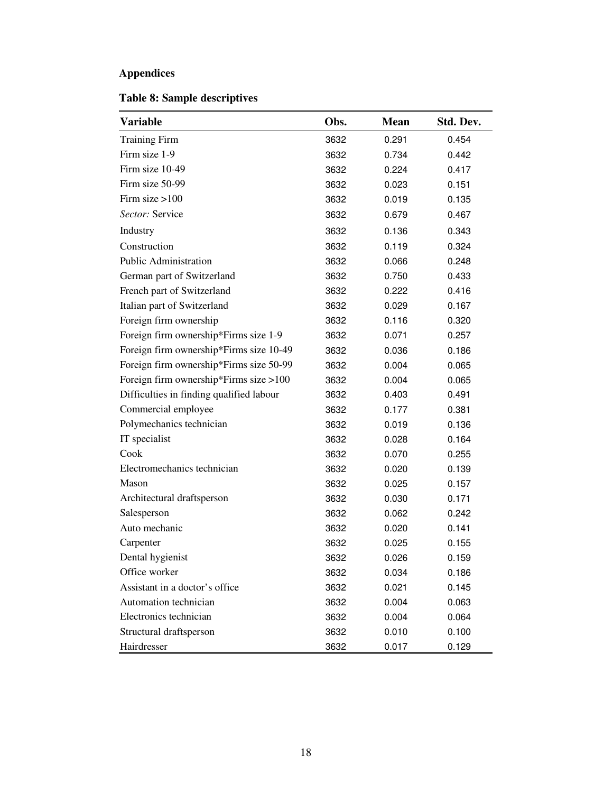## **Appendices**

| <b>Table 8: Sample descriptives</b> |
|-------------------------------------|
|                                     |

| <b>Variable</b>                          | Obs. | <b>Mean</b> | Std. Dev. |
|------------------------------------------|------|-------------|-----------|
| <b>Training Firm</b>                     | 3632 | 0.291       | 0.454     |
| Firm size 1-9                            | 3632 | 0.734       | 0.442     |
| Firm size 10-49                          | 3632 | 0.224       | 0.417     |
| Firm size 50-99                          | 3632 | 0.023       | 0.151     |
| Firm size $>100$                         | 3632 | 0.019       | 0.135     |
| Sector: Service                          | 3632 | 0.679       | 0.467     |
| Industry                                 | 3632 | 0.136       | 0.343     |
| Construction                             | 3632 | 0.119       | 0.324     |
| <b>Public Administration</b>             | 3632 | 0.066       | 0.248     |
| German part of Switzerland               | 3632 | 0.750       | 0.433     |
| French part of Switzerland               | 3632 | 0.222       | 0.416     |
| Italian part of Switzerland              | 3632 | 0.029       | 0.167     |
| Foreign firm ownership                   | 3632 | 0.116       | 0.320     |
| Foreign firm ownership*Firms size 1-9    | 3632 | 0.071       | 0.257     |
| Foreign firm ownership*Firms size 10-49  | 3632 | 0.036       | 0.186     |
| Foreign firm ownership*Firms size 50-99  | 3632 | 0.004       | 0.065     |
| Foreign firm ownership*Firms size >100   | 3632 | 0.004       | 0.065     |
| Difficulties in finding qualified labour | 3632 | 0.403       | 0.491     |
| Commercial employee                      | 3632 | 0.177       | 0.381     |
| Polymechanics technician                 | 3632 | 0.019       | 0.136     |
| IT specialist                            | 3632 | 0.028       | 0.164     |
| Cook                                     | 3632 | 0.070       | 0.255     |
| Electromechanics technician              | 3632 | 0.020       | 0.139     |
| Mason                                    | 3632 | 0.025       | 0.157     |
| Architectural draftsperson               | 3632 | 0.030       | 0.171     |
| Salesperson                              | 3632 | 0.062       | 0.242     |
| Auto mechanic                            | 3632 | 0.020       | 0.141     |
| Carpenter                                | 3632 | 0.025       | 0.155     |
| Dental hygienist                         | 3632 | 0.026       | 0.159     |
| Office worker                            | 3632 | 0.034       | 0.186     |
| Assistant in a doctor's office           | 3632 | 0.021       | 0.145     |
| Automation technician                    | 3632 | 0.004       | 0.063     |
| Electronics technician                   | 3632 | 0.004       | 0.064     |
| Structural draftsperson                  | 3632 | 0.010       | 0.100     |
| Hairdresser                              | 3632 | 0.017       | 0.129     |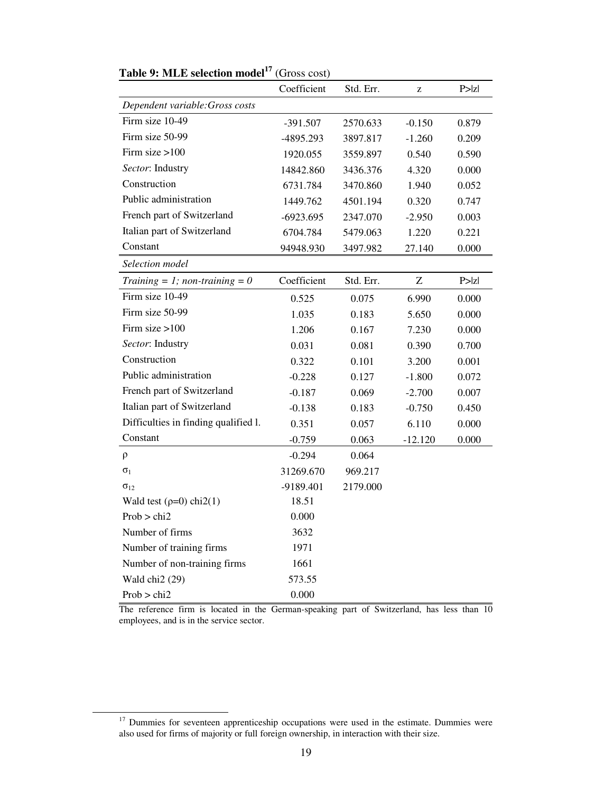|                                      | Coefficient | Std. Err. | z         | P >  Z |
|--------------------------------------|-------------|-----------|-----------|--------|
| Dependent variable: Gross costs      |             |           |           |        |
| Firm size 10-49                      | $-391.507$  | 2570.633  | $-0.150$  | 0.879  |
| Firm size 50-99                      | -4895.293   | 3897.817  | $-1.260$  | 0.209  |
| Firm size $>100$                     | 1920.055    | 3559.897  | 0.540     | 0.590  |
| Sector: Industry                     | 14842.860   | 3436.376  | 4.320     | 0.000  |
| Construction                         | 6731.784    | 3470.860  | 1.940     | 0.052  |
| Public administration                | 1449.762    | 4501.194  | 0.320     | 0.747  |
| French part of Switzerland           | $-6923.695$ | 2347.070  | $-2.950$  | 0.003  |
| Italian part of Switzerland          | 6704.784    | 5479.063  | 1.220     | 0.221  |
| Constant                             | 94948.930   | 3497.982  | 27.140    | 0.000  |
| Selection model                      |             |           |           |        |
| Training = 1; non-training = 0       | Coefficient | Std. Err. | Ζ         | P >  Z |
| Firm size 10-49                      | 0.525       | 0.075     | 6.990     | 0.000  |
| Firm size 50-99                      | 1.035       | 0.183     | 5.650     | 0.000  |
| Firm size $>100$                     | 1.206       | 0.167     | 7.230     | 0.000  |
| Sector: Industry                     | 0.031       | 0.081     | 0.390     | 0.700  |
| Construction                         | 0.322       | 0.101     | 3.200     | 0.001  |
| Public administration                | $-0.228$    | 0.127     | $-1.800$  | 0.072  |
| French part of Switzerland           | $-0.187$    | 0.069     | $-2.700$  | 0.007  |
| Italian part of Switzerland          | $-0.138$    | 0.183     | $-0.750$  | 0.450  |
| Difficulties in finding qualified l. | 0.351       | 0.057     | 6.110     | 0.000  |
| Constant                             | $-0.759$    | 0.063     | $-12.120$ | 0.000  |
| $\rho$                               | $-0.294$    | 0.064     |           |        |
| $\sigma_1$                           | 31269.670   | 969.217   |           |        |
| $\sigma_{12}$                        | -9189.401   | 2179.000  |           |        |
| Wald test $(\rho=0)$ chi2(1)         | 18.51       |           |           |        |
| Prob > chi2                          | 0.000       |           |           |        |
| Number of firms                      | 3632        |           |           |        |
| Number of training firms             | 1971        |           |           |        |
| Number of non-training firms         | 1661        |           |           |        |
| Wald chi <sub>2</sub> (29)           | 573.55      |           |           |        |
| $Prob$ > chi2                        | 0.000       |           |           |        |

**Table 9: MLE selection model 17** (Gross cost)

The reference firm is located in the German-speaking part of Switzerland, has less than 10 employees, and is in the service sector.

<sup>&</sup>lt;sup>17</sup> Dummies for seventeen apprenticeship occupations were used in the estimate. Dummies were also used for firms of majority or full foreign ownership, in interaction with their size.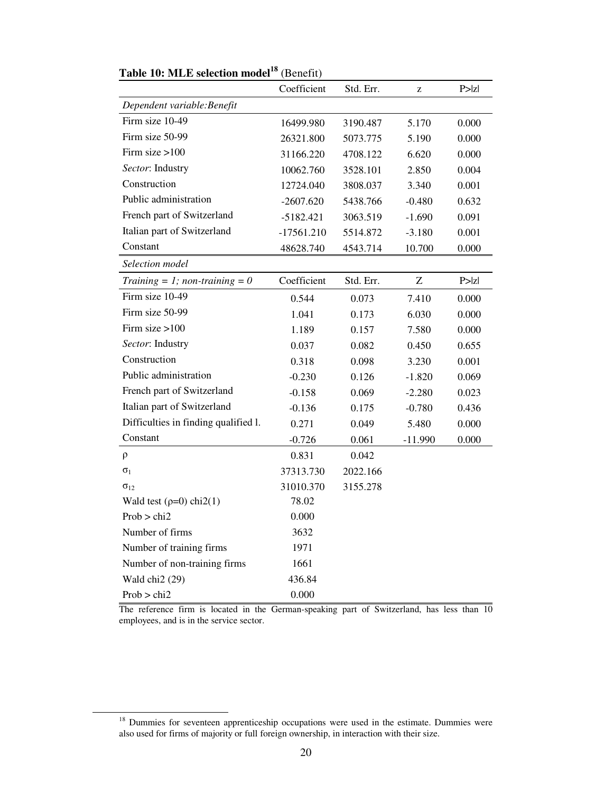|                                      | Coefficient  | Std. Err. | z         | P >  Z |
|--------------------------------------|--------------|-----------|-----------|--------|
| Dependent variable: Benefit          |              |           |           |        |
| Firm size 10-49                      | 16499.980    | 3190.487  | 5.170     | 0.000  |
| Firm size 50-99                      | 26321.800    | 5073.775  | 5.190     | 0.000  |
| Firm size $>100$                     | 31166.220    | 4708.122  | 6.620     | 0.000  |
| Sector: Industry                     | 10062.760    | 3528.101  | 2.850     | 0.004  |
| Construction                         | 12724.040    | 3808.037  | 3.340     | 0.001  |
| Public administration                | $-2607.620$  | 5438.766  | $-0.480$  | 0.632  |
| French part of Switzerland           | $-5182.421$  | 3063.519  | $-1.690$  | 0.091  |
| Italian part of Switzerland          | $-17561.210$ | 5514.872  | $-3.180$  | 0.001  |
| Constant                             | 48628.740    | 4543.714  | 10.700    | 0.000  |
| Selection model                      |              |           |           |        |
| Training = 1; non-training = 0       | Coefficient  | Std. Err. | Ζ         | P >  Z |
| Firm size 10-49                      | 0.544        | 0.073     | 7.410     | 0.000  |
| Firm size 50-99                      | 1.041        | 0.173     | 6.030     | 0.000  |
| Firm size $>100$                     | 1.189        | 0.157     | 7.580     | 0.000  |
| Sector: Industry                     | 0.037        | 0.082     | 0.450     | 0.655  |
| Construction                         | 0.318        | 0.098     | 3.230     | 0.001  |
| Public administration                | $-0.230$     | 0.126     | $-1.820$  | 0.069  |
| French part of Switzerland           | $-0.158$     | 0.069     | $-2.280$  | 0.023  |
| Italian part of Switzerland          | $-0.136$     | 0.175     | $-0.780$  | 0.436  |
| Difficulties in finding qualified l. | 0.271        | 0.049     | 5.480     | 0.000  |
| Constant                             | $-0.726$     | 0.061     | $-11.990$ | 0.000  |
| $\rho$                               | 0.831        | 0.042     |           |        |
| $\sigma_1$                           | 37313.730    | 2022.166  |           |        |
| $\sigma_{12}$                        | 31010.370    | 3155.278  |           |        |
| Wald test $(\rho=0)$ chi2(1)         | 78.02        |           |           |        |
| Prob > chi2                          | 0.000        |           |           |        |
| Number of firms                      | 3632         |           |           |        |
| Number of training firms             | 1971         |           |           |        |
| Number of non-training firms         | 1661         |           |           |        |
| Wald chi <sub>2</sub> (29)           | 436.84       |           |           |        |
| Prob > chi2                          | 0.000        |           |           |        |

**Table 10: MLE selection model 18** (Benefit)

The reference firm is located in the German-speaking part of Switzerland, has less than 10 employees, and is in the service sector.

<sup>&</sup>lt;sup>18</sup> Dummies for seventeen apprenticeship occupations were used in the estimate. Dummies were also used for firms of majority or full foreign ownership, in interaction with their size.